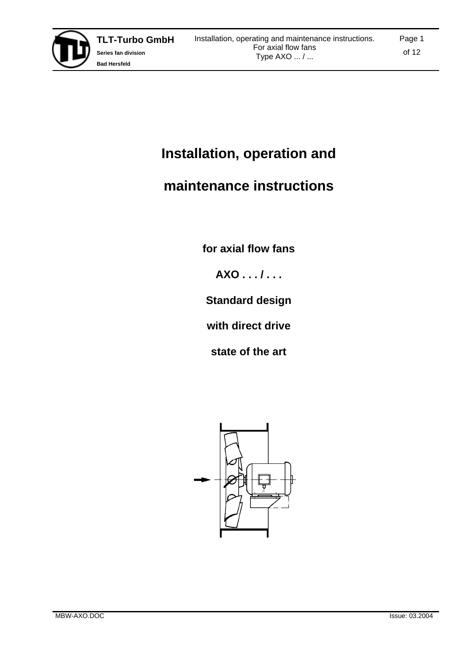

# **Installation, operation and**

# **maintenance instructions**

**for axial flow fans** 

**AXO . . . / . . .** 

**Standard design** 

**with direct drive** 

**state of the art** 

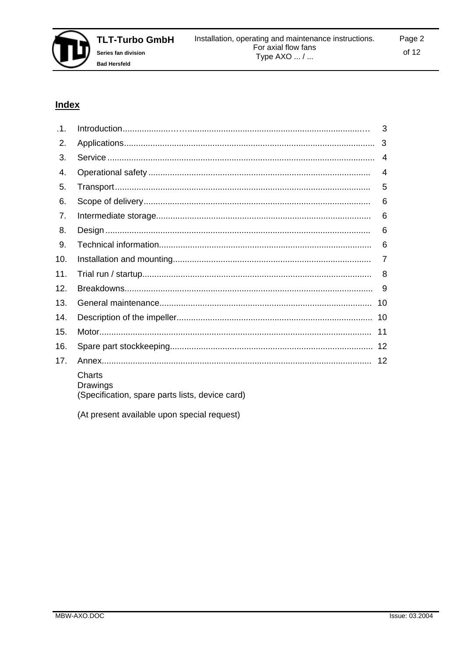

# **Index**

| .1. |                                                                       | 3   |
|-----|-----------------------------------------------------------------------|-----|
| 2.  |                                                                       | 3   |
| 3.  |                                                                       | 4   |
| 4.  |                                                                       | 4   |
| 5.  |                                                                       | 5   |
| 6.  |                                                                       | 6   |
| 7.  |                                                                       | 6   |
| 8.  |                                                                       | 6   |
| 9.  |                                                                       | 6   |
| 10. |                                                                       | 7   |
| 11. |                                                                       | 8   |
| 12. |                                                                       | 9   |
| 13. |                                                                       | 10  |
| 14. |                                                                       | 10  |
| 15. |                                                                       | 11  |
| 16. |                                                                       | 12  |
| 17. |                                                                       | -12 |
|     | Charts<br>Drawings<br>(Specification, spare parts lists, device card) |     |

(At present available upon special request)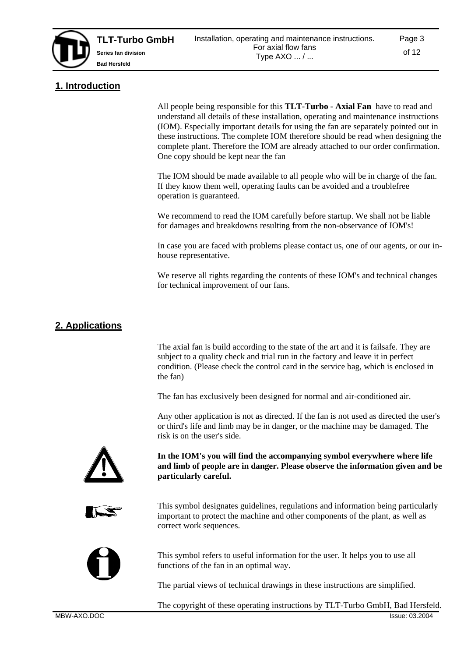

# **1. Introduction**

All people being responsible for this **TLT-Turbo - Axial Fan** have to read and understand all details of these installation, operating and maintenance instructions (IOM). Especially important details for using the fan are separately pointed out in these instructions. The complete IOM therefore should be read when designing the complete plant. Therefore the IOM are already attached to our order confirmation. One copy should be kept near the fan

The IOM should be made available to all people who will be in charge of the fan. If they know them well, operating faults can be avoided and a troublefree operation is guaranteed.

We recommend to read the IOM carefully before startup. We shall not be liable for damages and breakdowns resulting from the non-observance of IOM's!

In case you are faced with problems please contact us, one of our agents, or our inhouse representative.

We reserve all rights regarding the contents of these IOM's and technical changes for technical improvement of our fans.

# **2. Applications**

The axial fan is build according to the state of the art and it is failsafe. They are subject to a quality check and trial run in the factory and leave it in perfect condition. (Please check the control card in the service bag, which is enclosed in the fan)

The fan has exclusively been designed for normal and air-conditioned air.

Any other application is not as directed. If the fan is not used as directed the user's or third's life and limb may be in danger, or the machine may be damaged. The risk is on the user's side.



**In the IOM's you will find the accompanying symbol everywhere where life and limb of people are in danger. Please observe the information given and be particularly careful.** 



This symbol designates guidelines, regulations and information being particularly important to protect the machine and other components of the plant, as well as correct work sequences.



This symbol refers to useful information for the user. It helps you to use all functions of the fan in an optimal way.

The partial views of technical drawings in these instructions are simplified.

The copyright of these operating instructions by TLT-Turbo GmbH, Bad Hersfeld.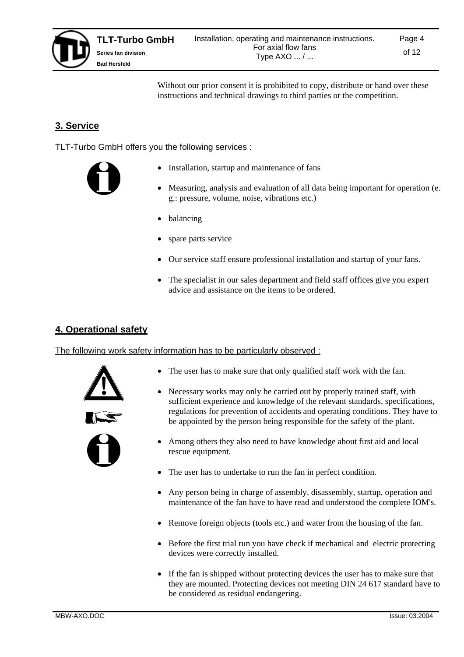

Page 4

Without our prior consent it is prohibited to copy, distribute or hand over these instructions and technical drawings to third parties or the competition.

# **3. Service**

TLT-Turbo GmbH offers you the following services :



- Installation, startup and maintenance of fans
- Measuring, analysis and evaluation of all data being important for operation (e. g.: pressure, volume, noise, vibrations etc.)
- balancing
- spare parts service
- Our service staff ensure professional installation and startup of your fans.
- The specialist in our sales department and field staff offices give you expert advice and assistance on the items to be ordered.

## **4. Operational safety**

#### The following work safety information has to be particularly observed :



- The user has to make sure that only qualified staff work with the fan.
	- Necessary works may only be carried out by properly trained staff, with sufficient experience and knowledge of the relevant standards, specifications, regulations for prevention of accidents and operating conditions. They have to be appointed by the person being responsible for the safety of the plant.
	- Among others they also need to have knowledge about first aid and local rescue equipment.
	- The user has to undertake to run the fan in perfect condition.
	- Any person being in charge of assembly, disassembly, startup, operation and maintenance of the fan have to have read and understood the complete IOM's.
	- Remove foreign objects (tools etc.) and water from the housing of the fan.
	- Before the first trial run you have check if mechanical and electric protecting devices were correctly installed.
	- If the fan is shipped without protecting devices the user has to make sure that they are mounted. Protecting devices not meeting DIN 24 617 standard have to be considered as residual endangering.

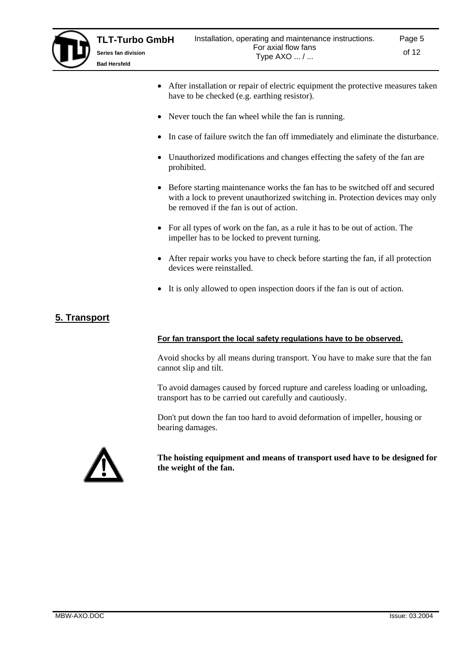

**Bad Hersfeld**

- After installation or repair of electric equipment the protective measures taken have to be checked (e.g. earthing resistor).
- Never touch the fan wheel while the fan is running.
- In case of failure switch the fan off immediately and eliminate the disturbance.
- Unauthorized modifications and changes effecting the safety of the fan are prohibited.
- Before starting maintenance works the fan has to be switched off and secured with a lock to prevent unauthorized switching in. Protection devices may only be removed if the fan is out of action.
- For all types of work on the fan, as a rule it has to be out of action. The impeller has to be locked to prevent turning.
- After repair works you have to check before starting the fan, if all protection devices were reinstalled.
- It is only allowed to open inspection doors if the fan is out of action.

### **5. Transport**

#### **For fan transport the local safety regulations have to be observed.**

Avoid shocks by all means during transport. You have to make sure that the fan cannot slip and tilt.

To avoid damages caused by forced rupture and careless loading or unloading, transport has to be carried out carefully and cautiously.

Don't put down the fan too hard to avoid deformation of impeller, housing or bearing damages.



**The hoisting equipment and means of transport used have to be designed for the weight of the fan.**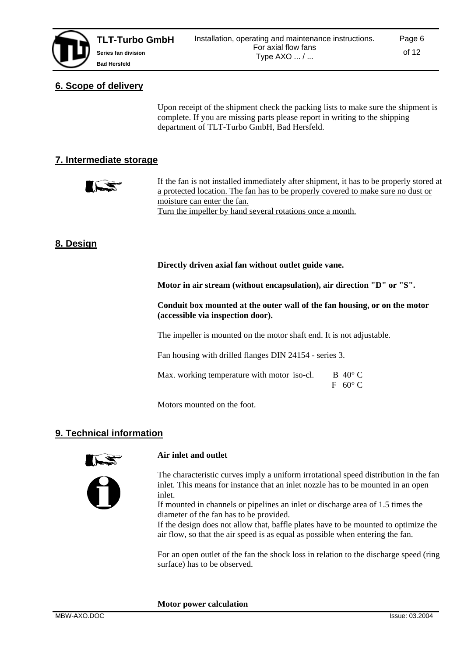# **6. Scope of delivery**

Upon receipt of the shipment check the packing lists to make sure the shipment is complete. If you are missing parts please report in writing to the shipping department of TLT-Turbo GmbH, Bad Hersfeld.

# **7. Intermediate storage**



If the fan is not installed immediately after shipment, it has to be properly stored at a protected location. The fan has to be properly covered to make sure no dust or moisture can enter the fan. Turn the impeller by hand several rotations once a month.

# **8. Design**

**Directly driven axial fan without outlet guide vane.** 

**Motor in air stream (without encapsulation), air direction "D" or "S".** 

**Conduit box mounted at the outer wall of the fan housing, or on the motor (accessible via inspection door).** 

The impeller is mounted on the motor shaft end. It is not adjustable.

Fan housing with drilled flanges DIN 24154 - series 3.

Max. working temperature with motor iso-cl. B  $40^{\circ}$  C F 60° C

Motors mounted on the foot.

### **9. Technical information**



### **Air inlet and outlet**

The characteristic curves imply a uniform irrotational speed distribution in the fan inlet. This means for instance that an inlet nozzle has to be mounted in an open inlet.

If mounted in channels or pipelines an inlet or discharge area of 1.5 times the diameter of the fan has to be provided.

If the design does not allow that, baffle plates have to be mounted to optimize the air flow, so that the air speed is as equal as possible when entering the fan.

For an open outlet of the fan the shock loss in relation to the discharge speed (ring surface) has to be observed.

**Motor power calculation**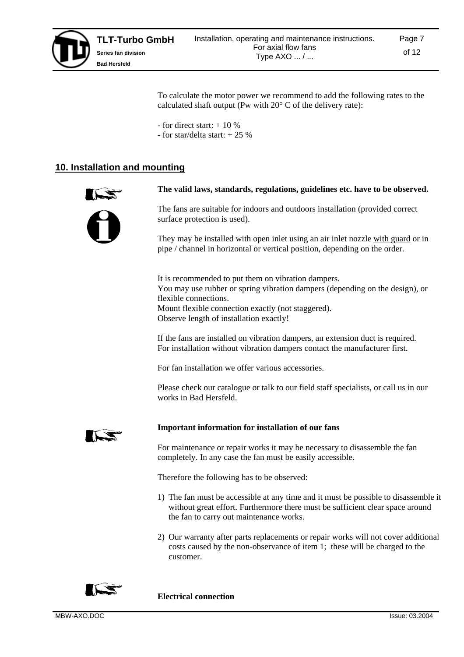

To calculate the motor power we recommend to add the following rates to the calculated shaft output (Pw with 20° C of the delivery rate):

- for direct start:  $+10\%$
- for star/delta start: + 25 %

### **10. Installation and mounting**



#### **The valid laws, standards, regulations, guidelines etc. have to be observed.**

The fans are suitable for indoors and outdoors installation (provided correct surface protection is used).

They may be installed with open inlet using an air inlet nozzle with guard or in pipe / channel in horizontal or vertical position, depending on the order.

It is recommended to put them on vibration dampers. You may use rubber or spring vibration dampers (depending on the design), or flexible connections. Mount flexible connection exactly (not staggered). Observe length of installation exactly!

If the fans are installed on vibration dampers, an extension duct is required. For installation without vibration dampers contact the manufacturer first.

For fan installation we offer various accessories.

Please check our catalogue or talk to our field staff specialists, or call us in our works in Bad Hersfeld.



#### **Important information for installation of our fans**

For maintenance or repair works it may be necessary to disassemble the fan completely. In any case the fan must be easily accessible.

Therefore the following has to be observed:

- 1) The fan must be accessible at any time and it must be possible to disassemble it without great effort. Furthermore there must be sufficient clear space around the fan to carry out maintenance works.
- 2) Our warranty after parts replacements or repair works will not cover additional costs caused by the non-observance of item 1; these will be charged to the customer.



**Electrical connection**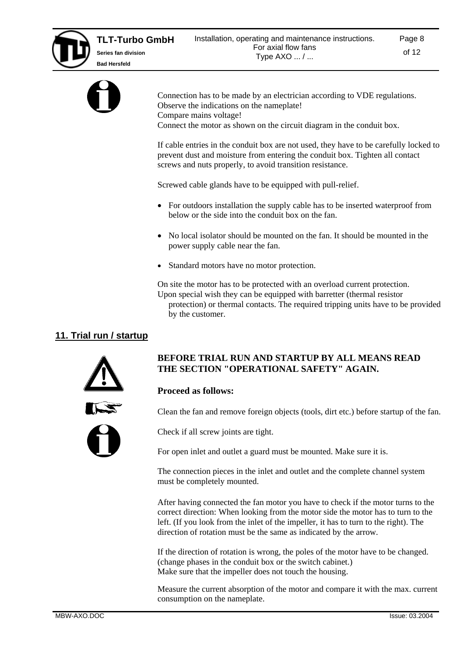

Connection has to be made by an electrician according to VDE regulations. Observe the indications on the nameplate! Compare mains voltage! Connect the motor as shown on the circuit diagram in the conduit box.

If cable entries in the conduit box are not used, they have to be carefully locked to prevent dust and moisture from entering the conduit box. Tighten all contact screws and nuts properly, to avoid transition resistance.

Screwed cable glands have to be equipped with pull-relief.

- For outdoors installation the supply cable has to be inserted waterproof from below or the side into the conduit box on the fan.
- No local isolator should be mounted on the fan. It should be mounted in the power supply cable near the fan.
- Standard motors have no motor protection.

On site the motor has to be protected with an overload current protection. Upon special wish they can be equipped with barretter (thermal resistor protection) or thermal contacts. The required tripping units have to be provided by the customer.

# **11. Trial run / startup**



### **BEFORE TRIAL RUN AND STARTUP BY ALL MEANS READ THE SECTION "OPERATIONAL SAFETY" AGAIN.**

### **Proceed as follows:**

Clean the fan and remove foreign objects (tools, dirt etc.) before startup of the fan.



Check if all screw joints are tight.

For open inlet and outlet a guard must be mounted. Make sure it is.

The connection pieces in the inlet and outlet and the complete channel system must be completely mounted.

After having connected the fan motor you have to check if the motor turns to the correct direction: When looking from the motor side the motor has to turn to the left. (If you look from the inlet of the impeller, it has to turn to the right). The direction of rotation must be the same as indicated by the arrow.

If the direction of rotation is wrong, the poles of the motor have to be changed. (change phases in the conduit box or the switch cabinet.) Make sure that the impeller does not touch the housing.

Measure the current absorption of the motor and compare it with the max. current consumption on the nameplate.

Page 8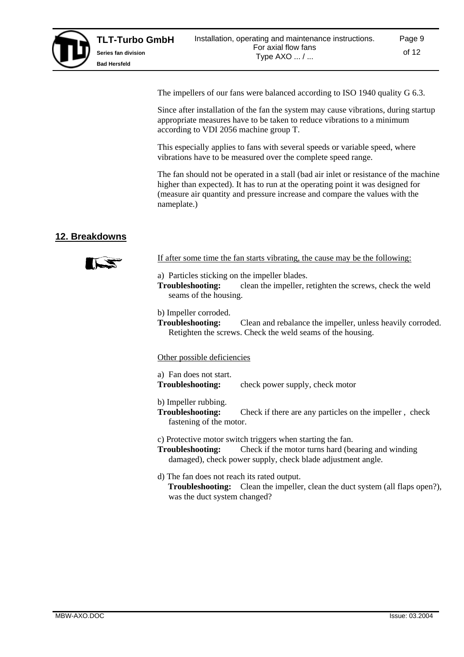

The impellers of our fans were balanced according to ISO 1940 quality G 6.3.

Since after installation of the fan the system may cause vibrations, during startup appropriate measures have to be taken to reduce vibrations to a minimum according to VDI 2056 machine group T.

This especially applies to fans with several speeds or variable speed, where vibrations have to be measured over the complete speed range.

The fan should not be operated in a stall (bad air inlet or resistance of the machine higher than expected). It has to run at the operating point it was designed for (measure air quantity and pressure increase and compare the values with the nameplate.)

# **12. Breakdowns**



- If after some time the fan starts vibrating, the cause may be the following:
- a) Particles sticking on the impeller blades.
- **Troubleshooting:** clean the impeller, retighten the screws, check the weld seams of the housing.
- b) Impeller corroded.
- **Troubleshooting:** Clean and rebalance the impeller, unless heavily corroded. Retighten the screws. Check the weld seams of the housing.

#### Other possible deficiencies

- a) Fan does not start.
- **Troubleshooting:** check power supply, check motor
- b) Impeller rubbing.
- **Troubleshooting:** Check if there are any particles on the impeller, check fastening of the motor.

c) Protective motor switch triggers when starting the fan.

- **Troubleshooting:** Check if the motor turns hard (bearing and winding damaged), check power supply, check blade adjustment angle.
- d) The fan does not reach its rated output.  **Troubleshooting:** Clean the impeller, clean the duct system (all flaps open?), was the duct system changed?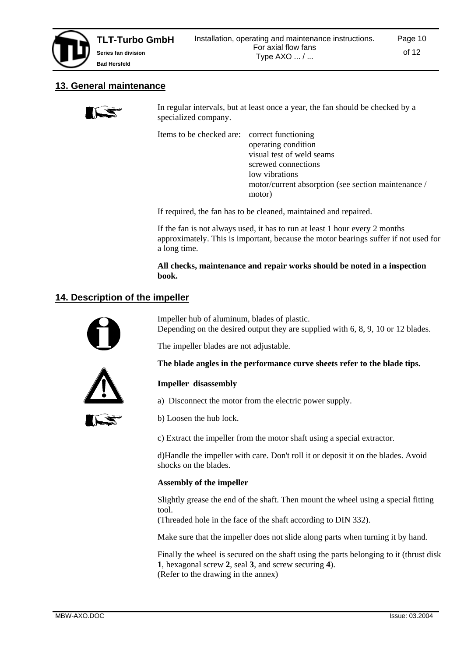## **13. General maintenance**

In regular intervals, but at least once a year, the fan should be checked by a specialized company.

Items to be checked are: correct functioning

 operating condition visual test of weld seams screwed connections low vibrations motor/current absorption (see section maintenance / motor)

If required, the fan has to be cleaned, maintained and repaired.

If the fan is not always used, it has to run at least 1 hour every 2 months approximately. This is important, because the motor bearings suffer if not used for a long time.

**All checks, maintenance and repair works should be noted in a inspection book.**

# **14. Description of the impeller**



Impeller hub of aluminum, blades of plastic. Depending on the desired output they are supplied with 6, 8, 9, 10 or 12 blades.

**The blade angles in the performance curve sheets refer to the blade tips.** 

The impeller blades are not adjustable.



**Impeller disassembly** 

- a) Disconnect the motor from the electric power supply.
- b) Loosen the hub lock.

c) Extract the impeller from the motor shaft using a special extractor.

d)Handle the impeller with care. Don't roll it or deposit it on the blades. Avoid shocks on the blades.

### **Assembly of the impeller**

Slightly grease the end of the shaft. Then mount the wheel using a special fitting tool.

(Threaded hole in the face of the shaft according to DIN 332).

Make sure that the impeller does not slide along parts when turning it by hand.

Finally the wheel is secured on the shaft using the parts belonging to it (thrust disk **1**, hexagonal screw **2**, seal **3**, and screw securing **4**). (Refer to the drawing in the annex)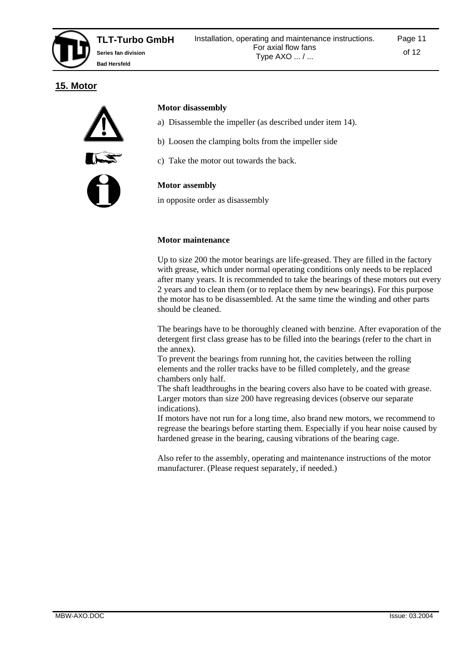# **15. Motor**



#### **Motor disassembly**

- a) Disassemble the impeller (as described under item 14).
- b) Loosen the clamping bolts from the impeller side
- c) Take the motor out towards the back.

#### **Motor assembly**

in opposite order as disassembly

### **Motor maintenance**

Up to size 200 the motor bearings are life-greased. They are filled in the factory with grease, which under normal operating conditions only needs to be replaced after many years. It is recommended to take the bearings of these motors out every 2 years and to clean them (or to replace them by new bearings). For this purpose the motor has to be disassembled. At the same time the winding and other parts should be cleaned.

The bearings have to be thoroughly cleaned with benzine. After evaporation of the detergent first class grease has to be filled into the bearings (refer to the chart in the annex).

To prevent the bearings from running hot, the cavities between the rolling elements and the roller tracks have to be filled completely, and the grease chambers only half.

The shaft leadthroughs in the bearing covers also have to be coated with grease. Larger motors than size 200 have regreasing devices (observe our separate indications).

If motors have not run for a long time, also brand new motors, we recommend to regrease the bearings before starting them. Especially if you hear noise caused by hardened grease in the bearing, causing vibrations of the bearing cage.

Also refer to the assembly, operating and maintenance instructions of the motor manufacturer. (Please request separately, if needed.)